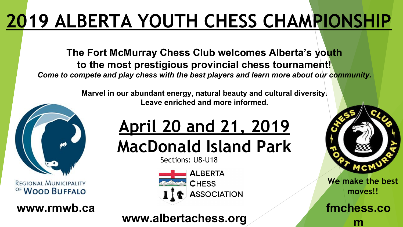## **2019 ALBERTA YOUTH CHESS CHAMPIONSHIP**

**The Fort McMurray Chess Club welcomes Alberta's youth to the most prestigious provincial chess tournament!** *Come to compete and play chess with the best players and learn more about our community.*

> **Marvel in our abundant energy, natural beauty and cultural diversity. Leave enriched and more informed.**



REGIONAL MUNICIPALITY OF WOOD BUFFALO

**www.rmwb.ca**

# **April 20 and 21, 2019**

**MacDonald Island Park**

Sections: U8-U18



### **www.albertachess.org m**



**We make the best moves!!**

**fmchess.co**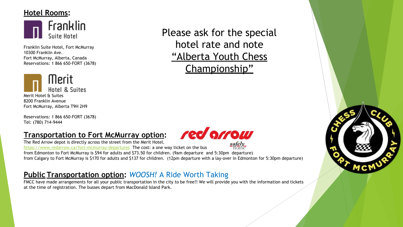#### **Hotel Rooms:**



Franklin Suite Hotel, Fort McMurray 10300 Franklin Ave. Fort McMurray, Alberta, Canada Reservations: 1 866 650-FORT (3678)



Reservations: 1 866 650-FORT (3678) Tel: (780) 714-9444

#### **Transportation to Fort McMurray option:**

red orrow

The Red Arrow depot is directly across the street from the Merit Hotel.

safely<br>home <https://www.redarrow.ca/fort-mcmurray-departures> The cost: a one way ticket on the bus from Edmonton to Fort McMurray is \$94 for adults and \$73.50 for children. (9am departure and 5:30pm departure)

from Calgary to Fort McMurray is \$170 for adults and \$137 for children. (12pm departure with a lay-over in Edmonton for 5:30pm departure)

#### **Public Transportation option:** *WOOSH!* A Ride Worth Taking

FMCC have made arrangements for all your public transportation in the city to be free!! We will provide you with the information and tickets at the time of registration. The busses depart from MacDonald Island Park.

Please ask for the special hotel rate and note "Alberta Youth Chess Championship"